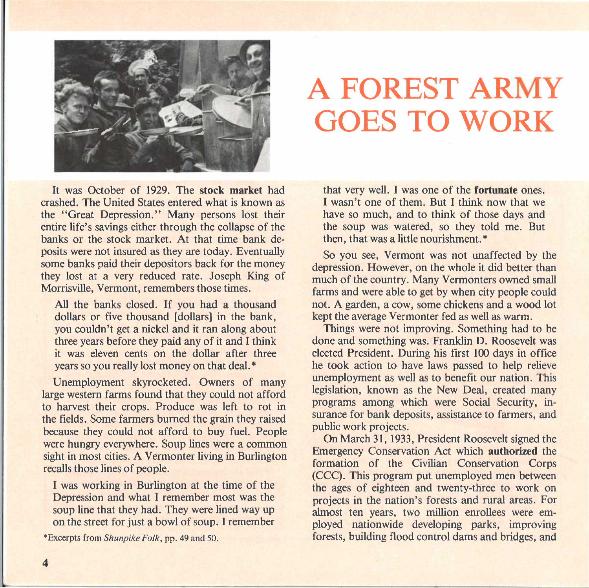

## **A FOREST ARMY GOES TO WORK**

It was October of 1929. The **stock market** had crashed. The United States entered what is known as the "Great Depression." Many persons lost their entire life's savings either through the collapse of the banks or the stock market. At that time bank deposits were not insured as they are today. Eventually some banks paid their depositors back for the money they lost at a very reduced rate. Joseph King of Morrisville, Vermont, remembers those times.

All the banks closed. If you had a thousand dollars or five thousand [dollars] in the bank, you couldn't get a nickel and it ran along about three years before they paid any of it and I think it was eleven cents on the dollar after three years so you really lost money on that deal.\*

Unemployment skyrocketed. Owners of many large western farms found that they could not afford to harvest their crops. Produce was left to rot in the fields. Some farmers burned the grain they raised because they could not afford to buy fuel. People were hungry everywhere. Soup lines were a common sight in most cities. A Vermonter living in Burlington recalls those lines of people.

I was working in Burlington at the time of the Depression and what I remember most was the soup line that they had. They were lined way up on the street for just a bowl of soup. I remember

\*Excerpts from *Shunpike Folk,* pp. 49 and 50.

that very well. I was one of the **fortunate** ones. I wasn't one of them. But I think now that we have so much, and to think of those days and the soup was watered, so they told me. But then, that was a little nourishment.\*

So you see, Vermont was not unaffected by the depression. However, on the whole it did better than much of the country. Many Vermonters owned small farms and were able to get by when city people could not. A garden, a cow, some chickens and a wood lot kept the average Vermonter fed as well as warm.

Things were not improving. Something had to be done and something was. Franklin D. Roosevelt was elected President. During his first **100** days in office he took action to have laws passed to help relieve unemployment as well as to benefit our nation. This legislation, known as the New Deal, created many programs among which were Social Security, insurance for bank deposits, assistance to farmers, and public work projects.

On March 31, 1933, President Roosevelt signed the Emergency Conservation Act which **authorized** the formation of the Civilian Conservation Corps (CCC). This program put unemployed men between the ages of eighteen and twenty-three to work on projects in the nation's forests and rural areas. For almost ten years, two million enrollees were employed nationwide developing parks, improving forests, building flood control dams and bridges, and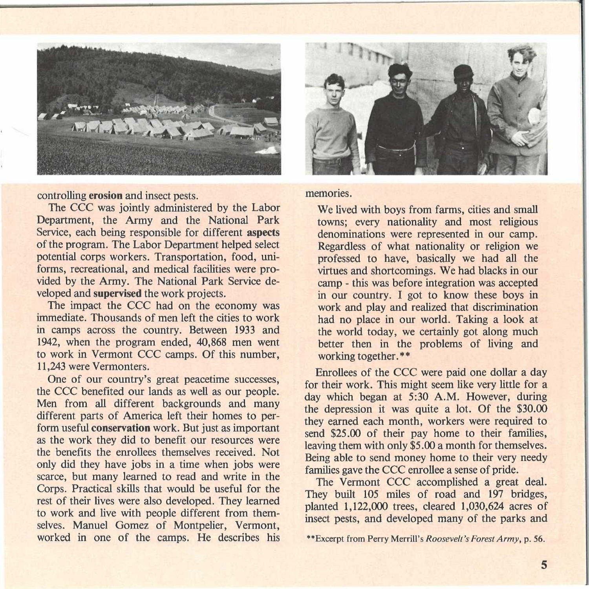

controlling **erosion** and insect pests.

The CCC was jointly administered by the Labor Department, the Army and the National Park Service, each being responsible for different **aspects**  of the program. The Labor Department helped select potential corps workers. Transportation, food, uniforms, recreational, and medical facilities were provided by the Army. The National Park Service developed and **supervised** the work projects.

The impact the CCC had on the economy was immediate. Thousands of men left the cities to work in camps across the country. Between 1933 and 1942, when the program ended, 40,868 men went to work in Vermont CCC camps. Of this number, 11,243 were Vermonters.

One of our country's great peacetime successes, the CCC benefited our lands as well as our people. Men from all different backgrounds and many different parts of America left their homes to perform useful **conservation** work. But just as important as the work they did to benefit our resources were the benefits the enrollees themselves received. Not only did they have jobs in a time when jobs were scarce, but many learned to read and write in the Corps. Practical skills that would be useful for the rest of their lives were also developed. They learned to work and live with people different from themselves. Manuel Gomez of Montpelier, Vermont, worked in one of the camps. He describes his



memories.

We lived with boys from farms, cities and small towns; every nationality and most religious denominations were represented in our camp. Regardless of what nationality or religion we professed to have, basically we had all the virtues and shortcomings. We had blacks in our camp - this was before integration was accepted in our country. I got to know these boys in work and play and realized that discrimination had no place in our world. Taking a look at the world today, we certainly got along much better then in the problems of living and working together.\*\*

Enrollees of the CCC were paid one dollar a day for their work. This might seem like very little for a day which began at 5:30 **A.M.** However, during the depression it was quite a lot. Of the \$30.00 they earned each month, workers were required to send \$25.00 of their pay home to their families, leaving them with only **\$5.00** a month for themselves. Being able to send money home to their very needy families gave the CCC enrollee a sense of pride.

The Vermont CCC accomplished a great deal. They built 105 miles of road and 197 bridges, planted 1,122,000 trees, cleared 1,030,624 acres of insect pests, and developed many of the parks and

<sup>\*\*</sup>Excerpt from Perry Merrill's *Roosevelt's Forest Army,* p. 56.